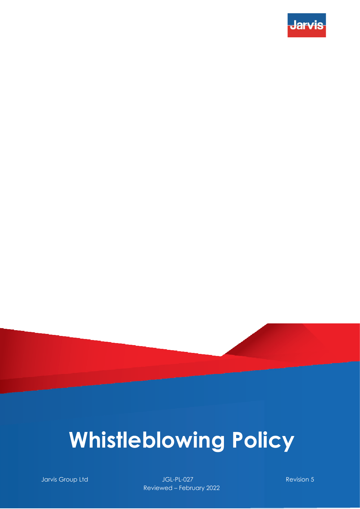

# **Whistleblowing Policy**

**Jarvis Group Ltd JGL-PL-027** Revision 5 Reviewed – February 2022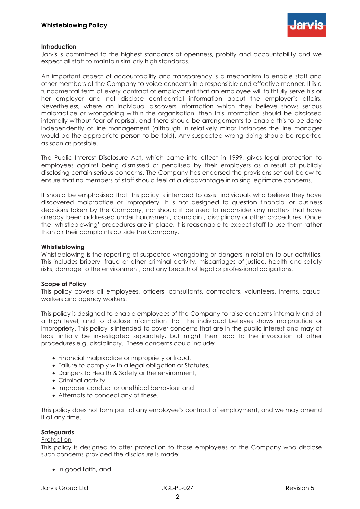

## **Introduction**

Jarvis is committed to the highest standards of openness, probity and accountability and we expect all staff to maintain similarly high standards.

An important aspect of accountability and transparency is a mechanism to enable staff and other members of the Company to voice concerns in a responsible and effective manner. It is a fundamental term of every contract of employment that an employee will faithfully serve his or her employer and not disclose confidential information about the employer's affairs. Nevertheless, where an individual discovers information which they believe shows serious malpractice or wrongdoing within the organisation, then this information should be disclosed internally without fear of reprisal, and there should be arrangements to enable this to be done independently of line management (although in relatively minor instances the line manager would be the appropriate person to be told). Any suspected wrong doing should be reported as soon as possible.

The Public Interest Disclosure Act, which came into effect in 1999, gives legal protection to employees against being dismissed or penalised by their employers as a result of publicly disclosing certain serious concerns. The Company has endorsed the provisions set out below to ensure that no members of staff should feel at a disadvantage in raising legitimate concerns.

It should be emphasised that this policy is intended to assist individuals who believe they have discovered malpractice or impropriety. It is not designed to question financial or business decisions taken by the Company, nor should it be used to reconsider any matters that have already been addressed under harassment, complaint, disciplinary or other procedures. Once the 'whistleblowing' procedures are in place, it is reasonable to expect staff to use them rather than air their complaints outside the Company.

### **Whistleblowing**

Whistleblowing is the reporting of suspected wrongdoing or dangers in relation to our activities. This includes bribery, fraud or other criminal activity, miscarriages of justice, health and safety risks, damage to the environment, and any breach of legal or professional obligations.

## **Scope of Policy**

This policy covers all employees, officers, consultants, contractors, volunteers, interns, casual workers and agency workers.

This policy is designed to enable employees of the Company to raise concerns internally and at a high level, and to disclose information that the individual believes shows malpractice or impropriety. This policy is intended to cover concerns that are in the public interest and may at least initially be investigated separately, but might then lead to the invocation of other procedures e.g. disciplinary. These concerns could include:

- Financial malpractice or impropriety or fraud,
- Failure to comply with a legal obligation or Statutes,
- Dangers to Health & Safety or the environment,
- Criminal activity,
- Improper conduct or unethical behaviour and
- Attempts to conceal any of these.

This policy does not form part of any employee's contract of employment, and we may amend it at any time.

#### **Safeguards**

#### **Protection**

This policy is designed to offer protection to those employees of the Company who disclose such concerns provided the disclosure is made:

• In good faith, and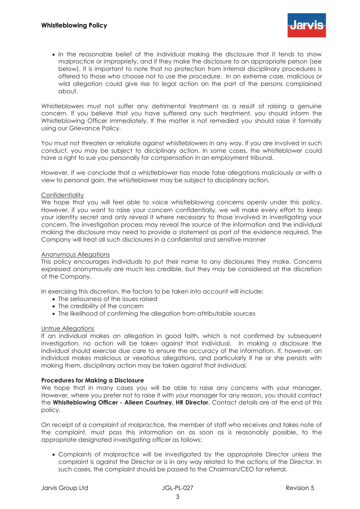• In the reasonable belief of the individual making the disclosure that it tends to show malpractice or impropriety, and if they make the disclosure to an appropriate person (see below). It is important to note that no protection from internal disciplinary procedures is offered to those who choose not to use the procedure. In an extreme case, malicious or wild allegation could give rise to legal action on the part of the persons complained about.

Whistleblowers must not suffer any detrimental treatment as a result of raising a genuine concern. If you believe that you have suffered any such treatment, you should inform the Whistleblowing Officer immediately. If the matter is not remedied you should raise it formally using our Grievance Policy.

You must not threaten or retaliate against whistleblowers in any way. If you are involved in such conduct, you may be subject to disciplinary action. In some cases, the whistleblower could have a right to sue you personally for compensation in an employment tribunal.

However, if we conclude that a whistleblower has made false allegations maliciously or with a view to personal gain, the whistleblower may be subject to disciplinary action.

### **Confidentiality**

We hope that you will feel able to voice whistleblowing concerns openly under this policy. However, if you want to raise your concern confidentially, we will make every effort to keep your identity secret and only reveal it where necessary to those involved in investigating your concern. The investigation process may reveal the source of the information and the individual making the disclosure may need to provide a statement as part of the evidence required. The Company will treat all such disclosures in a confidential and sensitive manner

#### Anonymous Allegations

This policy encourages individuals to put their name to any disclosures they make. Concerns expressed anonymously are much less credible, but they may be considered at the discretion of the Company.

In exercising this discretion, the factors to be taken into account will include:

- The seriousness of the issues raised
- The credibility of the concern
- The likelihood of confirming the allegation from attributable sources

## Untrue Allegations

If an individual makes an allegation in good faith, which is not confirmed by subsequent investigation, no action will be taken against that individual. In making a disclosure the individual should exercise due care to ensure the accuracy of the information. If, however, an individual makes malicious or vexatious allegations, and particularly if he or she persists with making them, disciplinary action may be taken against that individual.

## **Procedures for Making a Disclosure**

We hope that in many cases you will be able to raise any concerns with your manager. However, where you prefer not to raise it with your manager for any reason, you should contact the **Whistleblowing Officer - Aileen Courtney, HR Director.** Contact details are at the end of this policy.

On receipt of a complaint of malpractice, the member of staff who receives and takes note of the complaint, must pass this information on as soon as is reasonably possible, to the appropriate designated investigating officer as follows:

• Complaints of malpractice will be investigated by the appropriate Director unless the complaint is against the Director or is in any way related to the actions of the Director. In such cases, the complaint should be passed to the Chairman/CEO for referral.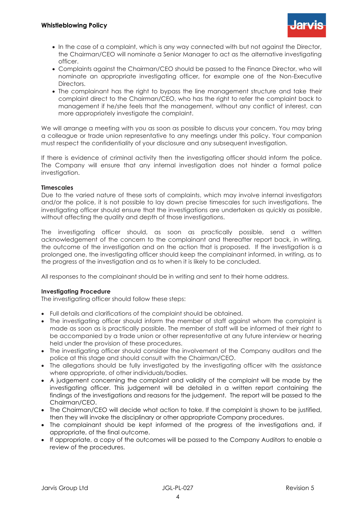

- In the case of a complaint, which is any way connected with but not against the Director, the Chairman/CEO will nominate a Senior Manager to act as the alternative investigating officer.
- Complaints against the Chairman/CEO should be passed to the Finance Director, who will nominate an appropriate investigating officer, for example one of the Non-Executive **Directors**
- The complainant has the right to bypass the line management structure and take their complaint direct to the Chairman/CEO, who has the right to refer the complaint back to management if he/she feels that the management, without any conflict of interest, can more appropriately investigate the complaint.

We will arrange a meeting with you as soon as possible to discuss your concern. You may bring a colleague or trade union representative to any meetings under this policy. Your companion must respect the confidentiality of your disclosure and any subsequent investigation.

If there is evidence of criminal activity then the investigating officer should inform the police. The Company will ensure that any internal investigation does not hinder a formal police investigation.

## **Timescales**

Due to the varied nature of these sorts of complaints, which may involve internal investigators and/or the police, it is not possible to lay down precise timescales for such investigations. The investigating officer should ensure that the investigations are undertaken as quickly as possible, without affecting the quality and depth of those investigations.

The investigating officer should, as soon as practically possible, send a written acknowledgement of the concern to the complainant and thereafter report back, in writing, the outcome of the investigation and on the action that is proposed. If the investigation is a prolonged one, the investigating officer should keep the complainant informed, in writing, as to the progress of the investigation and as to when it is likely to be concluded.

All responses to the complainant should be in writing and sent to their home address.

## **Investigating Procedure**

The investigating officer should follow these steps:

- Full details and clarifications of the complaint should be obtained.
- The investigating officer should inform the member of staff against whom the complaint is made as soon as is practically possible. The member of staff will be informed of their right to be accompanied by a trade union or other representative at any future interview or hearing held under the provision of these procedures.
- The investigating officer should consider the involvement of the Company auditors and the police at this stage and should consult with the Chairman/CEO.
- The allegations should be fully investigated by the investigating officer with the assistance where appropriate, of other individuals/bodies.
- A judgement concerning the complaint and validity of the complaint will be made by the investigating officer. This judgement will be detailed in a written report containing the findings of the investigations and reasons for the judgement. The report will be passed to the Chairman/CEO.
- The Chairman/CEO will decide what action to take. If the complaint is shown to be justified, then they will invoke the disciplinary or other appropriate Company procedures.
- The complainant should be kept informed of the progress of the investigations and, if appropriate, of the final outcome.
- If appropriate, a copy of the outcomes will be passed to the Company Auditors to enable a review of the procedures.